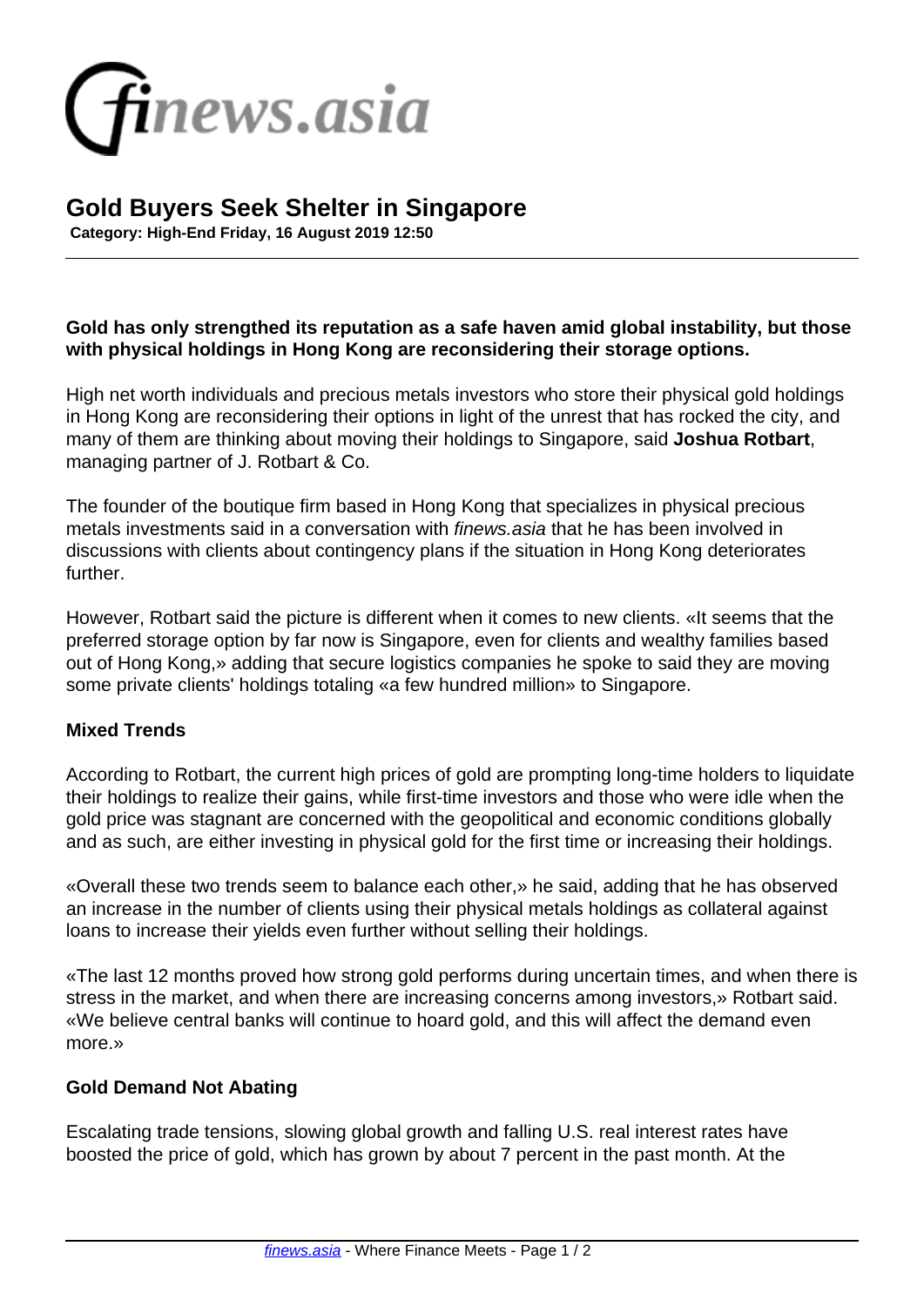

## **Gold Buyers Seek Shelter in Singapore**

 **Category: High-End Friday, 16 August 2019 12:50**

### **Gold has only strengthed its reputation as a safe haven amid global instability, but those with physical holdings in Hong Kong are reconsidering their storage options.**

High net worth individuals and precious metals investors who store their physical gold holdings in Hong Kong are reconsidering their options in light of the unrest that has rocked the city, and many of them are thinking about moving their holdings to Singapore, said **Joshua Rotbart**, managing partner of J. Rotbart & Co.

The founder of the boutique firm based in Hong Kong that specializes in physical precious metals investments said in a conversation with finews.asia that he has been involved in discussions with clients about contingency plans if the situation in Hong Kong deteriorates further.

However, Rotbart said the picture is different when it comes to new clients. «It seems that the preferred storage option by far now is Singapore, even for clients and wealthy families based out of Hong Kong,» adding that secure logistics companies he spoke to said they are moving some private clients' holdings totaling «a few hundred million» to Singapore.

#### **Mixed Trends**

According to Rotbart, the current high prices of gold are prompting long-time holders to liquidate their holdings to realize their gains, while first-time investors and those who were idle when the gold price was stagnant are concerned with the geopolitical and economic conditions globally and as such, are either investing in physical gold for the first time or increasing their holdings.

«Overall these two trends seem to balance each other,» he said, adding that he has observed an increase in the number of clients using their physical metals holdings as collateral against loans to increase their yields even further without selling their holdings.

«The last 12 months proved how strong gold performs during uncertain times, and when there is stress in the market, and when there are increasing concerns among investors,» Rotbart said. «We believe central banks will continue to hoard gold, and this will affect the demand even more.»

#### **Gold Demand Not Abating**

Escalating trade tensions, slowing global growth and falling U.S. real interest rates have boosted the price of gold, which has grown by about 7 percent in the past month. At the